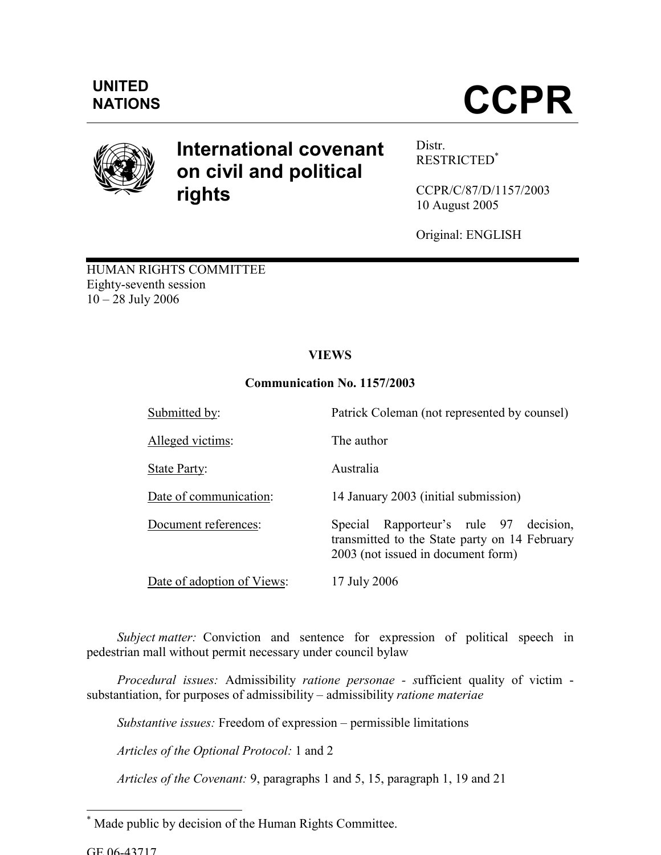

# International covenant on civil and political rights

Distr. RESTRICTED\*

CCPR/C/87/D/1157/2003 10 August 2005

Original: ENGLISH

HUMAN RIGHTS COMMITTEE Eighty-seventh session 10 – 28 July 2006

# VIEWS

# Communication No. 1157/2003

| Submitted by:              | Patrick Coleman (not represented by counsel)                                                                                        |
|----------------------------|-------------------------------------------------------------------------------------------------------------------------------------|
| Alleged victims:           | The author                                                                                                                          |
| State Party:               | Australia                                                                                                                           |
| Date of communication:     | 14 January 2003 (initial submission)                                                                                                |
| Document references:       | Rapporteur's rule 97<br>decision.<br>Special<br>transmitted to the State party on 14 February<br>2003 (not issued in document form) |
| Date of adoption of Views: | 17 July 2006                                                                                                                        |

Subject matter: Conviction and sentence for expression of political speech in pedestrian mall without permit necessary under council bylaw

 Procedural issues: Admissibility ratione personae - sufficient quality of victim substantiation, for purposes of admissibility – admissibility ratione materiae

Substantive issues: Freedom of expression – permissible limitations

Articles of the Optional Protocol: 1 and 2

Articles of the Covenant: 9, paragraphs 1 and 5, 15, paragraph 1, 19 and 21

GE.06-43717

 $\overline{a}$ \* Made public by decision of the Human Rights Committee.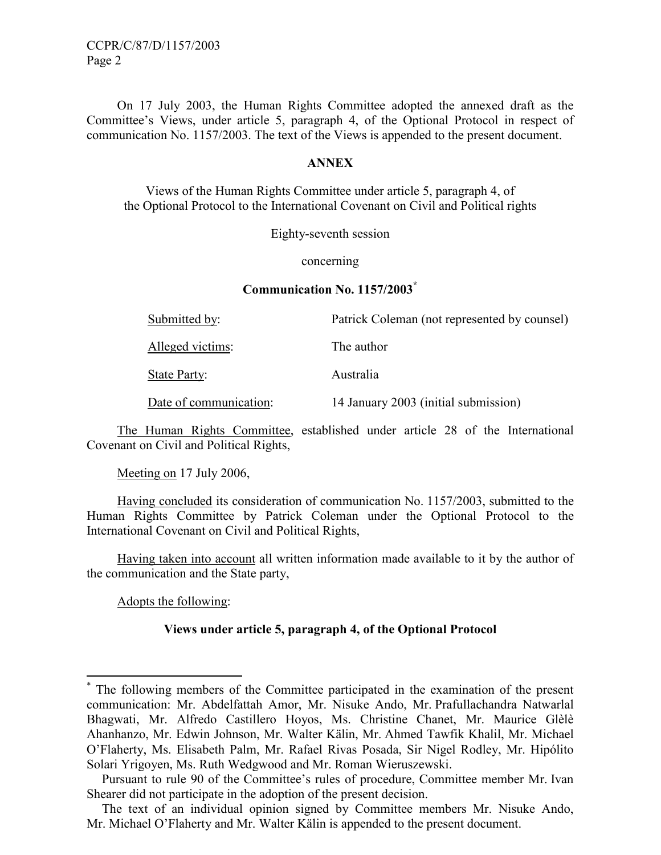On 17 July 2003, the Human Rights Committee adopted the annexed draft as the Committee's Views, under article 5, paragraph 4, of the Optional Protocol in respect of communication No. 1157/2003. The text of the Views is appended to the present document.

## ANNEX

Views of the Human Rights Committee under article 5, paragraph 4, of the Optional Protocol to the International Covenant on Civil and Political rights

Eighty-seventh session

#### concerning

## Communication No. 1157/2003\*

| Submitted by:          | Patrick Coleman (not represented by counsel) |
|------------------------|----------------------------------------------|
| Alleged victims:       | The author                                   |
| State Party:           | Australia                                    |
| Date of communication: | 14 January 2003 (initial submission)         |

 The Human Rights Committee, established under article 28 of the International Covenant on Civil and Political Rights,

Meeting on 17 July 2006,

 Having concluded its consideration of communication No. 1157/2003, submitted to the Human Rights Committee by Patrick Coleman under the Optional Protocol to the International Covenant on Civil and Political Rights,

 Having taken into account all written information made available to it by the author of the communication and the State party,

Adopts the following:

 $\overline{a}$ 

## Views under article 5, paragraph 4, of the Optional Protocol

<sup>\*</sup> The following members of the Committee participated in the examination of the present communication: Mr. Abdelfattah Amor, Mr. Nisuke Ando, Mr. Prafullachandra Natwarlal Bhagwati, Mr. Alfredo Castillero Hoyos, Ms. Christine Chanet, Mr. Maurice Glèlè Ahanhanzo, Mr. Edwin Johnson, Mr. Walter Kälin, Mr. Ahmed Tawfik Khalil, Mr. Michael O'Flaherty, Ms. Elisabeth Palm, Mr. Rafael Rivas Posada, Sir Nigel Rodley, Mr. Hipólito Solari Yrigoyen, Ms. Ruth Wedgwood and Mr. Roman Wieruszewski.

Pursuant to rule 90 of the Committee's rules of procedure, Committee member Mr. Ivan Shearer did not participate in the adoption of the present decision.

The text of an individual opinion signed by Committee members Mr. Nisuke Ando, Mr. Michael O'Flaherty and Mr. Walter Kälin is appended to the present document.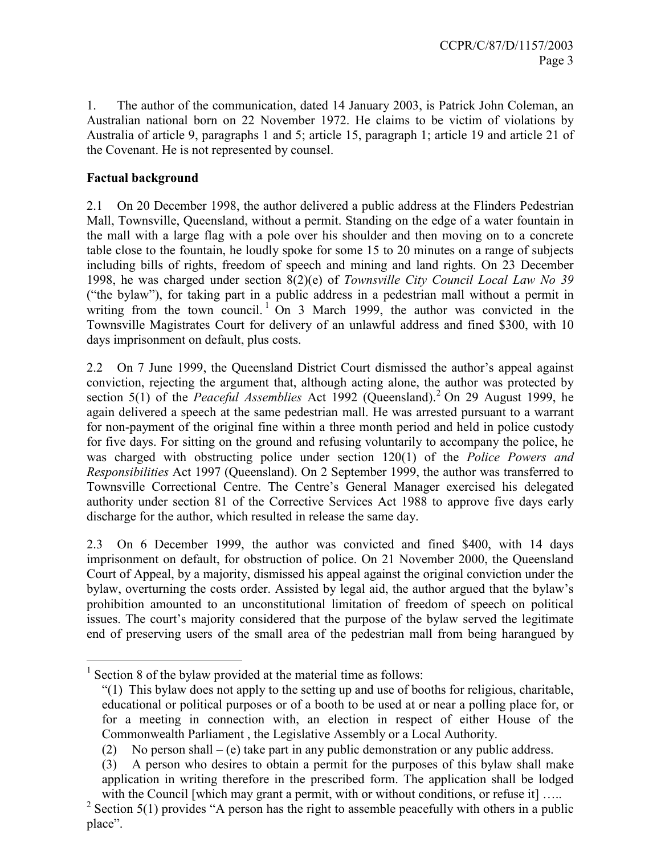1. The author of the communication, dated 14 January 2003, is Patrick John Coleman, an Australian national born on 22 November 1972. He claims to be victim of violations by Australia of article 9, paragraphs 1 and 5; article 15, paragraph 1; article 19 and article 21 of the Covenant. He is not represented by counsel.

# Factual background

2.1 On 20 December 1998, the author delivered a public address at the Flinders Pedestrian Mall, Townsville, Queensland, without a permit. Standing on the edge of a water fountain in the mall with a large flag with a pole over his shoulder and then moving on to a concrete table close to the fountain, he loudly spoke for some 15 to 20 minutes on a range of subjects including bills of rights, freedom of speech and mining and land rights. On 23 December 1998, he was charged under section  $8(2)(e)$  of Townsville City Council Local Law No 39 ("the bylaw"), for taking part in a public address in a pedestrian mall without a permit in writing from the town council.<sup>1</sup> On 3 March 1999, the author was convicted in the Townsville Magistrates Court for delivery of an unlawful address and fined \$300, with 10 days imprisonment on default, plus costs.

2.2 On 7 June 1999, the Queensland District Court dismissed the author's appeal against conviction, rejecting the argument that, although acting alone, the author was protected by section 5(1) of the Peaceful Assemblies Act 1992 (Queensland).<sup>2</sup> On 29 August 1999, he again delivered a speech at the same pedestrian mall. He was arrested pursuant to a warrant for non-payment of the original fine within a three month period and held in police custody for five days. For sitting on the ground and refusing voluntarily to accompany the police, he was charged with obstructing police under section 120(1) of the Police Powers and Responsibilities Act 1997 (Queensland). On 2 September 1999, the author was transferred to Townsville Correctional Centre. The Centre's General Manager exercised his delegated authority under section 81 of the Corrective Services Act 1988 to approve five days early discharge for the author, which resulted in release the same day.

2.3 On 6 December 1999, the author was convicted and fined \$400, with 14 days imprisonment on default, for obstruction of police. On 21 November 2000, the Queensland Court of Appeal, by a majority, dismissed his appeal against the original conviction under the bylaw, overturning the costs order. Assisted by legal aid, the author argued that the bylaw's prohibition amounted to an unconstitutional limitation of freedom of speech on political issues. The court's majority considered that the purpose of the bylaw served the legitimate end of preserving users of the small area of the pedestrian mall from being harangued by

<sup>&</sup>lt;sup>1</sup> Section 8 of the bylaw provided at the material time as follows:

<sup>&</sup>quot;(1) This bylaw does not apply to the setting up and use of booths for religious, charitable, educational or political purposes or of a booth to be used at or near a polling place for, or for a meeting in connection with, an election in respect of either House of the Commonwealth Parliament , the Legislative Assembly or a Local Authority.

<sup>(2)</sup> No person shall – (e) take part in any public demonstration or any public address.

<sup>(3)</sup> A person who desires to obtain a permit for the purposes of this bylaw shall make application in writing therefore in the prescribed form. The application shall be lodged with the Council [which may grant a permit, with or without conditions, or refuse it] .....

 $2^2$  Section 5(1) provides "A person has the right to assemble peacefully with others in a public place".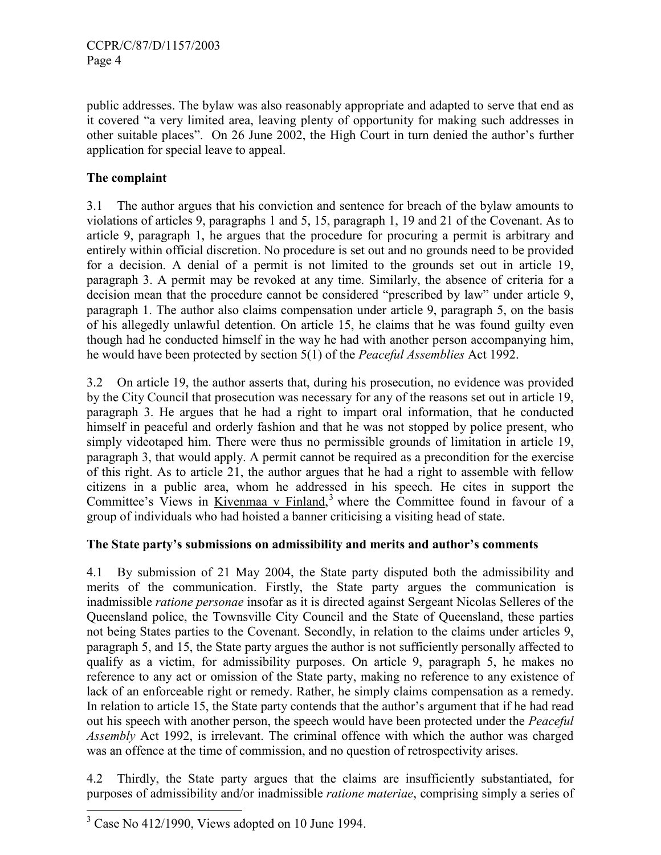public addresses. The bylaw was also reasonably appropriate and adapted to serve that end as it covered "a very limited area, leaving plenty of opportunity for making such addresses in other suitable places". On 26 June 2002, the High Court in turn denied the author's further application for special leave to appeal.

# The complaint

3.1 The author argues that his conviction and sentence for breach of the bylaw amounts to violations of articles 9, paragraphs 1 and 5, 15, paragraph 1, 19 and 21 of the Covenant. As to article 9, paragraph 1, he argues that the procedure for procuring a permit is arbitrary and entirely within official discretion. No procedure is set out and no grounds need to be provided for a decision. A denial of a permit is not limited to the grounds set out in article 19, paragraph 3. A permit may be revoked at any time. Similarly, the absence of criteria for a decision mean that the procedure cannot be considered "prescribed by law" under article 9, paragraph 1. The author also claims compensation under article 9, paragraph 5, on the basis of his allegedly unlawful detention. On article 15, he claims that he was found guilty even though had he conducted himself in the way he had with another person accompanying him, he would have been protected by section 5(1) of the Peaceful Assemblies Act 1992.

3.2 On article 19, the author asserts that, during his prosecution, no evidence was provided by the City Council that prosecution was necessary for any of the reasons set out in article 19, paragraph 3. He argues that he had a right to impart oral information, that he conducted himself in peaceful and orderly fashion and that he was not stopped by police present, who simply videotaped him. There were thus no permissible grounds of limitation in article 19, paragraph 3, that would apply. A permit cannot be required as a precondition for the exercise of this right. As to article 21, the author argues that he had a right to assemble with fellow citizens in a public area, whom he addressed in his speech. He cites in support the Committee's Views in Kivenmaa v Finland,<sup>3</sup> where the Committee found in favour of a group of individuals who had hoisted a banner criticising a visiting head of state.

# The State party's submissions on admissibility and merits and author's comments

4.1 By submission of 21 May 2004, the State party disputed both the admissibility and merits of the communication. Firstly, the State party argues the communication is inadmissible ratione personae insofar as it is directed against Sergeant Nicolas Selleres of the Queensland police, the Townsville City Council and the State of Queensland, these parties not being States parties to the Covenant. Secondly, in relation to the claims under articles 9, paragraph 5, and 15, the State party argues the author is not sufficiently personally affected to qualify as a victim, for admissibility purposes. On article 9, paragraph 5, he makes no reference to any act or omission of the State party, making no reference to any existence of lack of an enforceable right or remedy. Rather, he simply claims compensation as a remedy. In relation to article 15, the State party contends that the author's argument that if he had read out his speech with another person, the speech would have been protected under the *Peaceful* Assembly Act 1992, is irrelevant. The criminal offence with which the author was charged was an offence at the time of commission, and no question of retrospectivity arises.

4.2 Thirdly, the State party argues that the claims are insufficiently substantiated, for purposes of admissibility and/or inadmissible ratione materiae, comprising simply a series of

<sup>&</sup>lt;sup>3</sup> Case No 412/1990, Views adopted on 10 June 1994.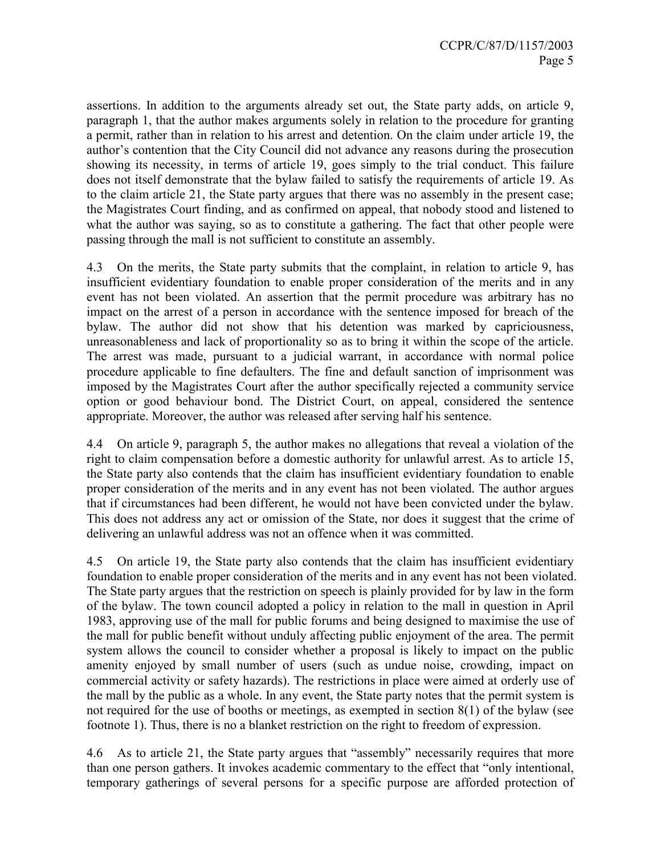assertions. In addition to the arguments already set out, the State party adds, on article 9, paragraph 1, that the author makes arguments solely in relation to the procedure for granting a permit, rather than in relation to his arrest and detention. On the claim under article 19, the author's contention that the City Council did not advance any reasons during the prosecution showing its necessity, in terms of article 19, goes simply to the trial conduct. This failure does not itself demonstrate that the bylaw failed to satisfy the requirements of article 19. As to the claim article 21, the State party argues that there was no assembly in the present case; the Magistrates Court finding, and as confirmed on appeal, that nobody stood and listened to what the author was saying, so as to constitute a gathering. The fact that other people were passing through the mall is not sufficient to constitute an assembly.

4.3 On the merits, the State party submits that the complaint, in relation to article 9, has insufficient evidentiary foundation to enable proper consideration of the merits and in any event has not been violated. An assertion that the permit procedure was arbitrary has no impact on the arrest of a person in accordance with the sentence imposed for breach of the bylaw. The author did not show that his detention was marked by capriciousness, unreasonableness and lack of proportionality so as to bring it within the scope of the article. The arrest was made, pursuant to a judicial warrant, in accordance with normal police procedure applicable to fine defaulters. The fine and default sanction of imprisonment was imposed by the Magistrates Court after the author specifically rejected a community service option or good behaviour bond. The District Court, on appeal, considered the sentence appropriate. Moreover, the author was released after serving half his sentence.

4.4 On article 9, paragraph 5, the author makes no allegations that reveal a violation of the right to claim compensation before a domestic authority for unlawful arrest. As to article 15, the State party also contends that the claim has insufficient evidentiary foundation to enable proper consideration of the merits and in any event has not been violated. The author argues that if circumstances had been different, he would not have been convicted under the bylaw. This does not address any act or omission of the State, nor does it suggest that the crime of delivering an unlawful address was not an offence when it was committed.

4.5 On article 19, the State party also contends that the claim has insufficient evidentiary foundation to enable proper consideration of the merits and in any event has not been violated. The State party argues that the restriction on speech is plainly provided for by law in the form of the bylaw. The town council adopted a policy in relation to the mall in question in April 1983, approving use of the mall for public forums and being designed to maximise the use of the mall for public benefit without unduly affecting public enjoyment of the area. The permit system allows the council to consider whether a proposal is likely to impact on the public amenity enjoyed by small number of users (such as undue noise, crowding, impact on commercial activity or safety hazards). The restrictions in place were aimed at orderly use of the mall by the public as a whole. In any event, the State party notes that the permit system is not required for the use of booths or meetings, as exempted in section 8(1) of the bylaw (see footnote 1). Thus, there is no a blanket restriction on the right to freedom of expression.

4.6 As to article 21, the State party argues that "assembly" necessarily requires that more than one person gathers. It invokes academic commentary to the effect that "only intentional, temporary gatherings of several persons for a specific purpose are afforded protection of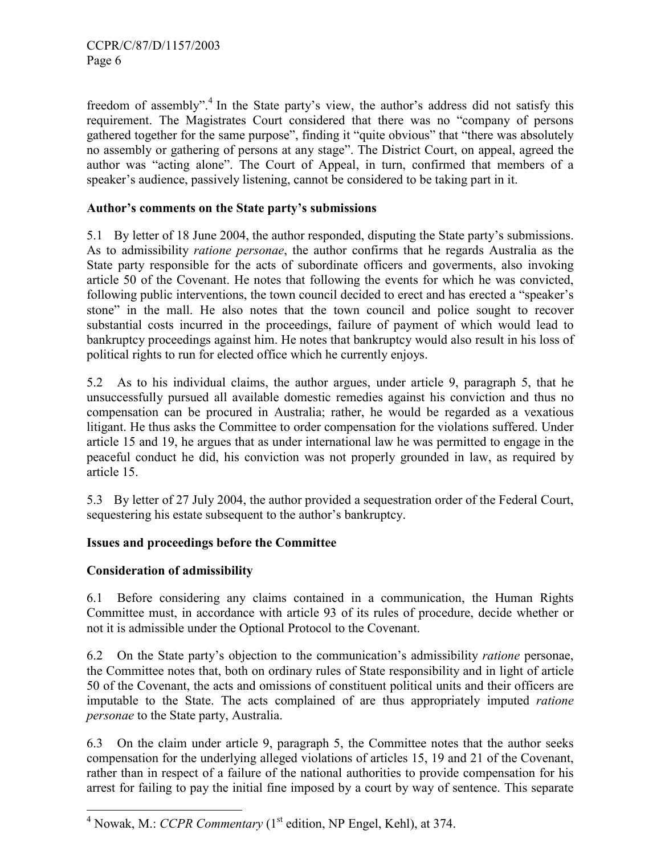freedom of assembly".<sup>4</sup> In the State party's view, the author's address did not satisfy this requirement. The Magistrates Court considered that there was no "company of persons gathered together for the same purpose", finding it "quite obvious" that "there was absolutely no assembly or gathering of persons at any stage". The District Court, on appeal, agreed the author was "acting alone". The Court of Appeal, in turn, confirmed that members of a speaker's audience, passively listening, cannot be considered to be taking part in it.

# Author's comments on the State party's submissions

5.1 By letter of 18 June 2004, the author responded, disputing the State party's submissions. As to admissibility ratione personae, the author confirms that he regards Australia as the State party responsible for the acts of subordinate officers and goverments, also invoking article 50 of the Covenant. He notes that following the events for which he was convicted, following public interventions, the town council decided to erect and has erected a "speaker's stone" in the mall. He also notes that the town council and police sought to recover substantial costs incurred in the proceedings, failure of payment of which would lead to bankruptcy proceedings against him. He notes that bankruptcy would also result in his loss of political rights to run for elected office which he currently enjoys.

5.2 As to his individual claims, the author argues, under article 9, paragraph 5, that he unsuccessfully pursued all available domestic remedies against his conviction and thus no compensation can be procured in Australia; rather, he would be regarded as a vexatious litigant. He thus asks the Committee to order compensation for the violations suffered. Under article 15 and 19, he argues that as under international law he was permitted to engage in the peaceful conduct he did, his conviction was not properly grounded in law, as required by article 15.

5.3 By letter of 27 July 2004, the author provided a sequestration order of the Federal Court, sequestering his estate subsequent to the author's bankruptcy.

# Issues and proceedings before the Committee

# Consideration of admissibility

6.1 Before considering any claims contained in a communication, the Human Rights Committee must, in accordance with article 93 of its rules of procedure, decide whether or not it is admissible under the Optional Protocol to the Covenant.

6.2 On the State party's objection to the communication's admissibility ratione personae, the Committee notes that, both on ordinary rules of State responsibility and in light of article 50 of the Covenant, the acts and omissions of constituent political units and their officers are imputable to the State. The acts complained of are thus appropriately imputed ratione personae to the State party, Australia.

6.3 On the claim under article 9, paragraph 5, the Committee notes that the author seeks compensation for the underlying alleged violations of articles 15, 19 and 21 of the Covenant, rather than in respect of a failure of the national authorities to provide compensation for his arrest for failing to pay the initial fine imposed by a court by way of sentence. This separate

<sup>&</sup>lt;sup>4</sup> Nowak, M.: *CCPR Commentary* (1<sup>st</sup> edition, NP Engel, Kehl), at 374.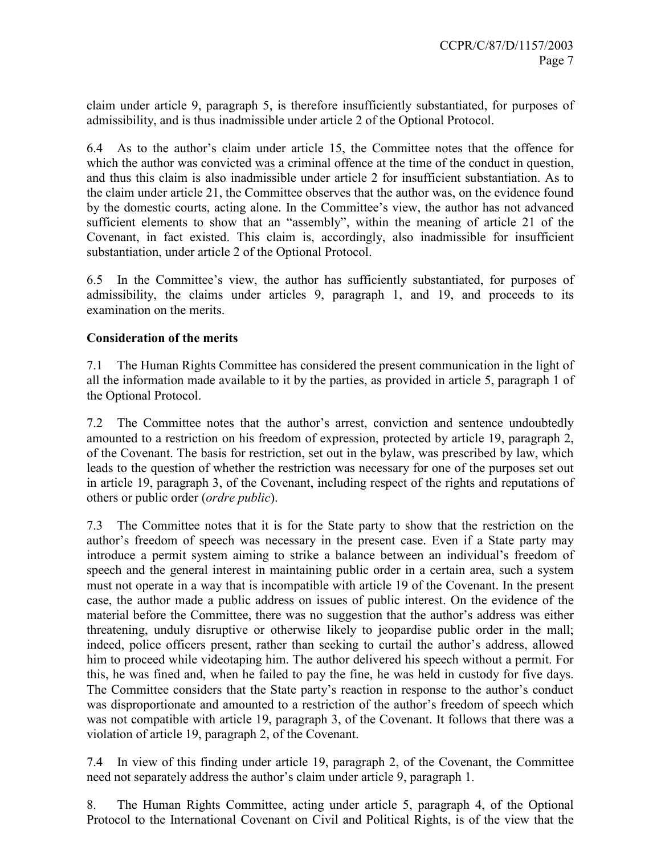claim under article 9, paragraph 5, is therefore insufficiently substantiated, for purposes of admissibility, and is thus inadmissible under article 2 of the Optional Protocol.

6.4 As to the author's claim under article 15, the Committee notes that the offence for which the author was convicted was a criminal offence at the time of the conduct in question, and thus this claim is also inadmissible under article 2 for insufficient substantiation. As to the claim under article 21, the Committee observes that the author was, on the evidence found by the domestic courts, acting alone. In the Committee's view, the author has not advanced sufficient elements to show that an "assembly", within the meaning of article 21 of the Covenant, in fact existed. This claim is, accordingly, also inadmissible for insufficient substantiation, under article 2 of the Optional Protocol.

6.5 In the Committee's view, the author has sufficiently substantiated, for purposes of admissibility, the claims under articles 9, paragraph 1, and 19, and proceeds to its examination on the merits.

# Consideration of the merits

7.1 The Human Rights Committee has considered the present communication in the light of all the information made available to it by the parties, as provided in article 5, paragraph 1 of the Optional Protocol.

7.2 The Committee notes that the author's arrest, conviction and sentence undoubtedly amounted to a restriction on his freedom of expression, protected by article 19, paragraph 2, of the Covenant. The basis for restriction, set out in the bylaw, was prescribed by law, which leads to the question of whether the restriction was necessary for one of the purposes set out in article 19, paragraph 3, of the Covenant, including respect of the rights and reputations of others or public order (ordre public).

7.3 The Committee notes that it is for the State party to show that the restriction on the author's freedom of speech was necessary in the present case. Even if a State party may introduce a permit system aiming to strike a balance between an individual's freedom of speech and the general interest in maintaining public order in a certain area, such a system must not operate in a way that is incompatible with article 19 of the Covenant. In the present case, the author made a public address on issues of public interest. On the evidence of the material before the Committee, there was no suggestion that the author's address was either threatening, unduly disruptive or otherwise likely to jeopardise public order in the mall; indeed, police officers present, rather than seeking to curtail the author's address, allowed him to proceed while videotaping him. The author delivered his speech without a permit. For this, he was fined and, when he failed to pay the fine, he was held in custody for five days. The Committee considers that the State party's reaction in response to the author's conduct was disproportionate and amounted to a restriction of the author's freedom of speech which was not compatible with article 19, paragraph 3, of the Covenant. It follows that there was a violation of article 19, paragraph 2, of the Covenant.

7.4 In view of this finding under article 19, paragraph 2, of the Covenant, the Committee need not separately address the author's claim under article 9, paragraph 1.

8. The Human Rights Committee, acting under article 5, paragraph 4, of the Optional Protocol to the International Covenant on Civil and Political Rights, is of the view that the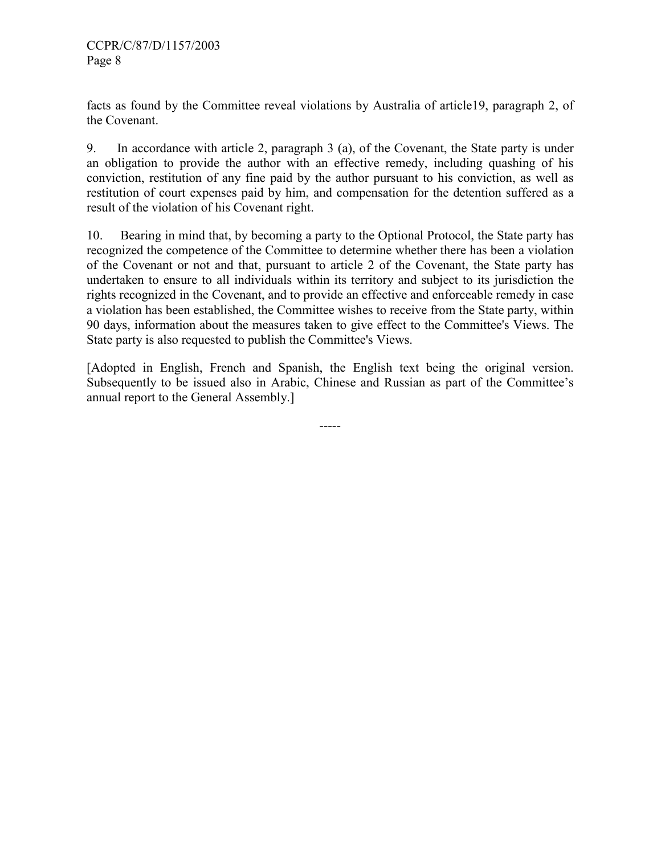facts as found by the Committee reveal violations by Australia of article19, paragraph 2, of the Covenant.

9. In accordance with article 2, paragraph 3 (a), of the Covenant, the State party is under an obligation to provide the author with an effective remedy, including quashing of his conviction, restitution of any fine paid by the author pursuant to his conviction, as well as restitution of court expenses paid by him, and compensation for the detention suffered as a result of the violation of his Covenant right.

10. Bearing in mind that, by becoming a party to the Optional Protocol, the State party has recognized the competence of the Committee to determine whether there has been a violation of the Covenant or not and that, pursuant to article 2 of the Covenant, the State party has undertaken to ensure to all individuals within its territory and subject to its jurisdiction the rights recognized in the Covenant, and to provide an effective and enforceable remedy in case a violation has been established, the Committee wishes to receive from the State party, within 90 days, information about the measures taken to give effect to the Committee's Views. The State party is also requested to publish the Committee's Views.

[Adopted in English, French and Spanish, the English text being the original version. Subsequently to be issued also in Arabic, Chinese and Russian as part of the Committee's annual report to the General Assembly.]

-----